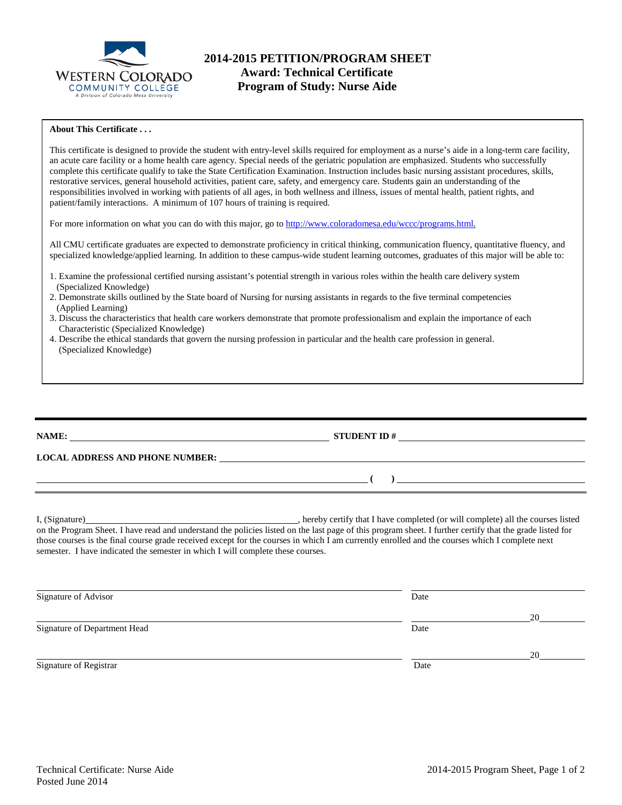

# **2014-2015 PETITION/PROGRAM SHEET Award: Technical Certificate Program of Study: Nurse Aide**

## **About This Certificate . . .**

This certificate is designed to provide the student with entry-level skills required for employment as a nurse's aide in a long-term care facility, an acute care facility or a home health care agency. Special needs of the geriatric population are emphasized. Students who successfully complete this certificate qualify to take the State Certification Examination. Instruction includes basic nursing assistant procedures, skills, restorative services, general household activities, patient care, safety, and emergency care. Students gain an understanding of the responsibilities involved in working with patients of all ages, in both wellness and illness, issues of mental health, patient rights, and patient/family interactions. A minimum of 107 hours of training is required.

For more information on what you can do with this major, go t[o http://www.coloradomesa.edu/wccc/programs.html.](http://www.coloradomesa.edu/wccc/programs.html)

All CMU certificate graduates are expected to demonstrate proficiency in critical thinking, communication fluency, quantitative fluency, and specialized knowledge/applied learning. In addition to these campus-wide student learning outcomes, graduates of this major will be able to:

- 1. Examine the professional certified nursing assistant's potential strength in various roles within the health care delivery system (Specialized Knowledge)
- 2. Demonstrate skills outlined by the State board of Nursing for nursing assistants in regards to the five terminal competencies (Applied Learning)
- 3. Discuss the characteristics that health care workers demonstrate that promote professionalism and explain the importance of each Characteristic (Specialized Knowledge)
- 4. Describe the ethical standards that govern the nursing profession in particular and the health care profession in general. (Specialized Knowledge)

| <b>NAME:</b> |  |  |
|--------------|--|--|
|              |  |  |

**LOCAL ADDRESS AND PHONE NUMBER:**

I, (Signature) , hereby certify that I have completed (or will complete) all the courses listed on the Program Sheet. I have read and understand the policies listed on the last page of this program sheet. I further certify that the grade listed for those courses is the final course grade received except for the courses in which I am currently enrolled and the courses which I complete next semester. I have indicated the semester in which I will complete these courses.

**NAME: STUDENT ID #** 

**( )** 

| Signature of Advisor         | Date |    |
|------------------------------|------|----|
|                              |      | 20 |
| Signature of Department Head | Date |    |
|                              |      | 20 |
| Signature of Registrar       | Date |    |